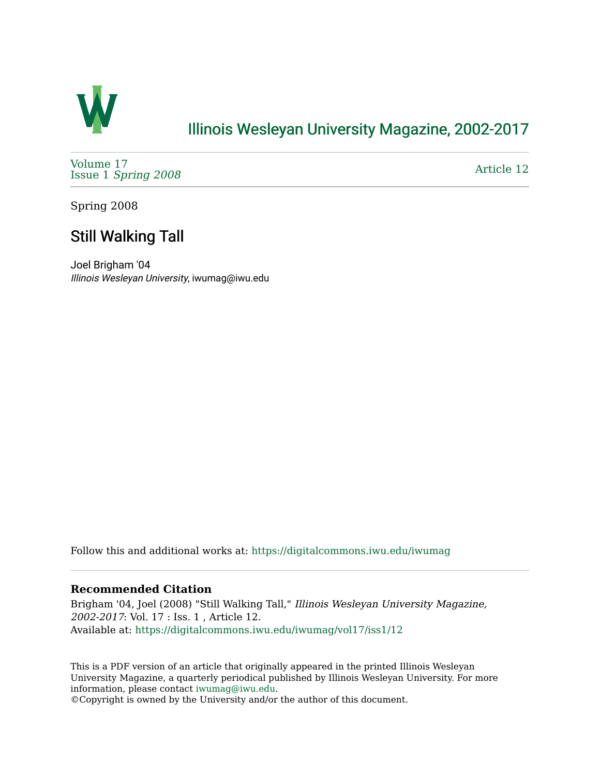

### [Illinois Wesleyan University Magazine, 2002-2017](https://digitalcommons.iwu.edu/iwumag)

[Volume 17](https://digitalcommons.iwu.edu/iwumag/vol17)  Issue 1 [Spring 2008](https://digitalcommons.iwu.edu/iwumag/vol17/iss1)

[Article 12](https://digitalcommons.iwu.edu/iwumag/vol17/iss1/12) 

Spring 2008

## Still Walking Tall

Joel Brigham '04 Illinois Wesleyan University, iwumag@iwu.edu

Follow this and additional works at: [https://digitalcommons.iwu.edu/iwumag](https://digitalcommons.iwu.edu/iwumag?utm_source=digitalcommons.iwu.edu%2Fiwumag%2Fvol17%2Fiss1%2F12&utm_medium=PDF&utm_campaign=PDFCoverPages) 

#### **Recommended Citation**

Brigham '04, Joel (2008) "Still Walking Tall," Illinois Wesleyan University Magazine, 2002-2017: Vol. 17 : Iss. 1 , Article 12. Available at: [https://digitalcommons.iwu.edu/iwumag/vol17/iss1/12](https://digitalcommons.iwu.edu/iwumag/vol17/iss1/12?utm_source=digitalcommons.iwu.edu%2Fiwumag%2Fvol17%2Fiss1%2F12&utm_medium=PDF&utm_campaign=PDFCoverPages) 

This is a PDF version of an article that originally appeared in the printed Illinois Wesleyan University Magazine, a quarterly periodical published by Illinois Wesleyan University. For more information, please contact [iwumag@iwu.edu](mailto:iwumag@iwu.edu).

©Copyright is owned by the University and/or the author of this document.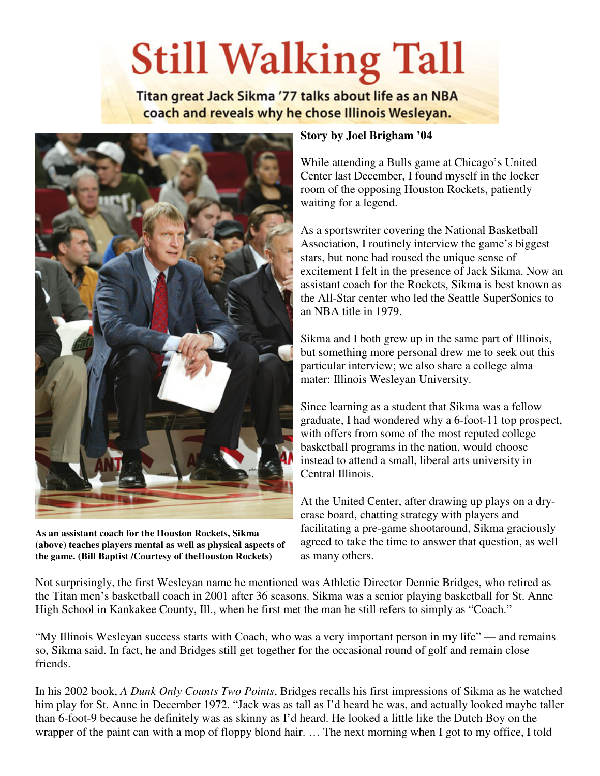# **Still Walking Tall**

Titan great Jack Sikma '77 talks about life as an NBA coach and reveals why he chose Illinois Wesleyan.



**As an assistant coach for the Houston Rockets, Sikma (above) teaches players mental as well as physical aspects of the game. (Bill Baptist /Courtesy of theHouston Rockets)**

#### **Story by Joel Brigham '04**

While attending a Bulls game at Chicago's United Center last December, I found myself in the locker room of the opposing Houston Rockets, patiently waiting for a legend.

As a sportswriter covering the National Basketball Association, I routinely interview the game's biggest stars, but none had roused the unique sense of excitement I felt in the presence of Jack Sikma. Now an assistant coach for the Rockets, Sikma is best known as the All-Star center who led the Seattle SuperSonics to an NBA title in 1979.

Sikma and I both grew up in the same part of Illinois, but something more personal drew me to seek out this particular interview; we also share a college alma mater: Illinois Wesleyan University.

Since learning as a student that Sikma was a fellow graduate, I had wondered why a 6-foot-11 top prospect, with offers from some of the most reputed college basketball programs in the nation, would choose instead to attend a small, liberal arts university in Central Illinois.

At the United Center, after drawing up plays on a dryerase board, chatting strategy with players and facilitating a pre-game shootaround, Sikma graciously agreed to take the time to answer that question, as well as many others.

Not surprisingly, the first Wesleyan name he mentioned was Athletic Director Dennie Bridges, who retired as the Titan men's basketball coach in 2001 after 36 seasons. Sikma was a senior playing basketball for St. Anne High School in Kankakee County, Ill., when he first met the man he still refers to simply as "Coach."

"My Illinois Wesleyan success starts with Coach, who was a very important person in my life" — and remains so, Sikma said. In fact, he and Bridges still get together for the occasional round of golf and remain close friends.

In his 2002 book, *A Dunk Only Counts Two Points*, Bridges recalls his first impressions of Sikma as he watched him play for St. Anne in December 1972. "Jack was as tall as I'd heard he was, and actually looked maybe taller than 6-foot-9 because he definitely was as skinny as I'd heard. He looked a little like the Dutch Boy on the wrapper of the paint can with a mop of floppy blond hair. … The next morning when I got to my office, I told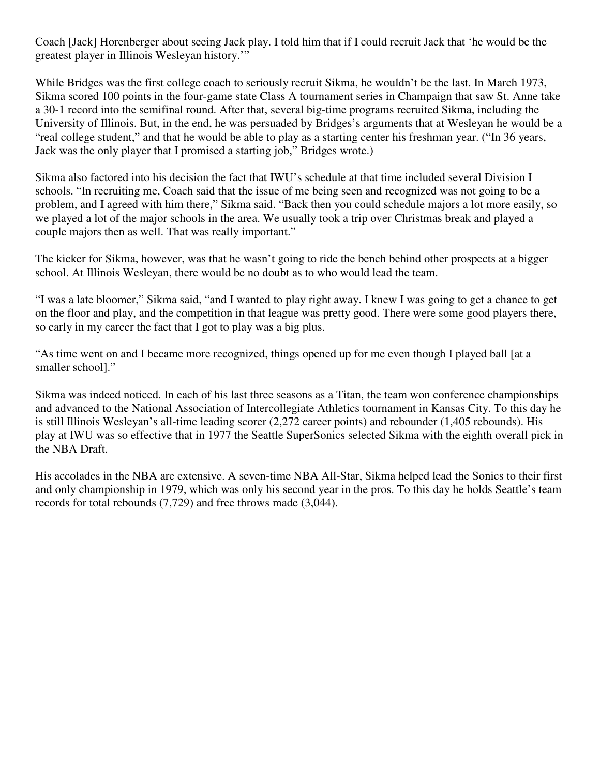Coach [Jack] Horenberger about seeing Jack play. I told him that if I could recruit Jack that 'he would be the greatest player in Illinois Wesleyan history.'"

While Bridges was the first college coach to seriously recruit Sikma, he wouldn't be the last. In March 1973, Sikma scored 100 points in the four-game state Class A tournament series in Champaign that saw St. Anne take a 30-1 record into the semifinal round. After that, several big-time programs recruited Sikma, including the University of Illinois. But, in the end, he was persuaded by Bridges's arguments that at Wesleyan he would be a "real college student," and that he would be able to play as a starting center his freshman year. ("In 36 years, Jack was the only player that I promised a starting job," Bridges wrote.)

Sikma also factored into his decision the fact that IWU's schedule at that time included several Division I schools. "In recruiting me, Coach said that the issue of me being seen and recognized was not going to be a problem, and I agreed with him there," Sikma said. "Back then you could schedule majors a lot more easily, so we played a lot of the major schools in the area. We usually took a trip over Christmas break and played a couple majors then as well. That was really important."

The kicker for Sikma, however, was that he wasn't going to ride the bench behind other prospects at a bigger school. At Illinois Wesleyan, there would be no doubt as to who would lead the team.

"I was a late bloomer," Sikma said, "and I wanted to play right away. I knew I was going to get a chance to get on the floor and play, and the competition in that league was pretty good. There were some good players there, so early in my career the fact that I got to play was a big plus.

"As time went on and I became more recognized, things opened up for me even though I played ball [at a smaller school]."

Sikma was indeed noticed. In each of his last three seasons as a Titan, the team won conference championships and advanced to the National Association of Intercollegiate Athletics tournament in Kansas City. To this day he is still Illinois Wesleyan's all-time leading scorer (2,272 career points) and rebounder (1,405 rebounds). His play at IWU was so effective that in 1977 the Seattle SuperSonics selected Sikma with the eighth overall pick in the NBA Draft.

His accolades in the NBA are extensive. A seven-time NBA All-Star, Sikma helped lead the Sonics to their first and only championship in 1979, which was only his second year in the pros. To this day he holds Seattle's team records for total rebounds (7,729) and free throws made (3,044).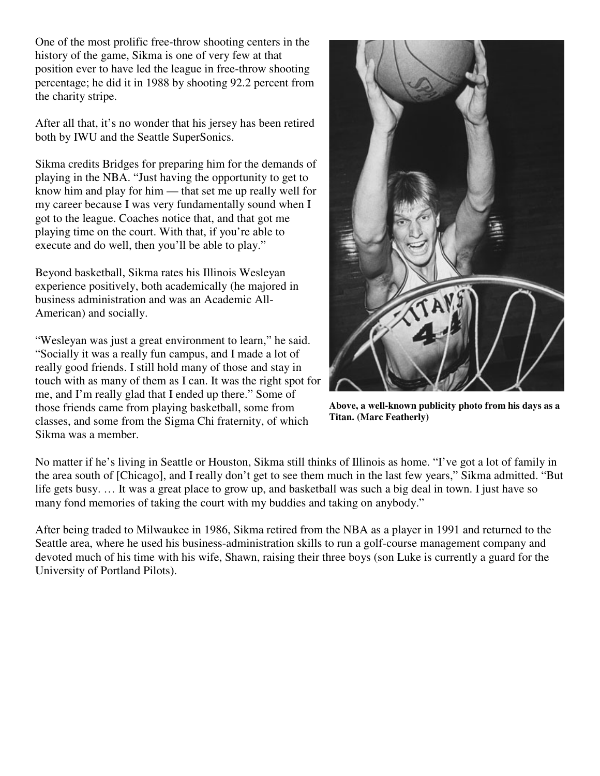One of the most prolific free-throw shooting centers in the history of the game, Sikma is one of very few at that position ever to have led the league in free-throw shooting percentage; he did it in 1988 by shooting 92.2 percent from the charity stripe.

After all that, it's no wonder that his jersey has been retired both by IWU and the Seattle SuperSonics.

Sikma credits Bridges for preparing him for the demands of playing in the NBA. "Just having the opportunity to get to know him and play for him — that set me up really well for my career because I was very fundamentally sound when I got to the league. Coaches notice that, and that got me playing time on the court. With that, if you're able to execute and do well, then you'll be able to play."

Beyond basketball, Sikma rates his Illinois Wesleyan experience positively, both academically (he majored in business administration and was an Academic All-American) and socially.

"Wesleyan was just a great environment to learn," he said. "Socially it was a really fun campus, and I made a lot of really good friends. I still hold many of those and stay in touch with as many of them as I can. It was the right spot for me, and I'm really glad that I ended up there." Some of those friends came from playing basketball, some from classes, and some from the Sigma Chi fraternity, of which Sikma was a member.



**Above, a well-known publicity photo from his days as a Titan. (Marc Featherly)**

No matter if he's living in Seattle or Houston, Sikma still thinks of Illinois as home. "I've got a lot of family in the area south of [Chicago], and I really don't get to see them much in the last few years," Sikma admitted. "But life gets busy. … It was a great place to grow up, and basketball was such a big deal in town. I just have so many fond memories of taking the court with my buddies and taking on anybody."

After being traded to Milwaukee in 1986, Sikma retired from the NBA as a player in 1991 and returned to the Seattle area, where he used his business-administration skills to run a golf-course management company and devoted much of his time with his wife, Shawn, raising their three boys (son Luke is currently a guard for the University of Portland Pilots).